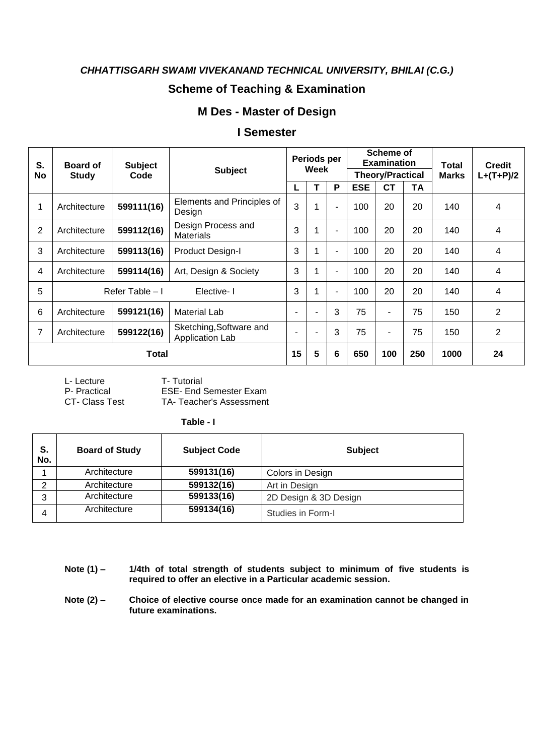# **Scheme of Teaching & Examination**

## **M Des - Master of Design**

#### **I Semester**

| S.             | <b>Subject</b><br><b>Board of</b> |                 |                                            | Periods per              |                |                          | Scheme of<br><b>Examination</b> |                |     | <b>Total</b> | <b>Credit</b>  |
|----------------|-----------------------------------|-----------------|--------------------------------------------|--------------------------|----------------|--------------------------|---------------------------------|----------------|-----|--------------|----------------|
| No             | <b>Study</b>                      | Code            | <b>Subject</b>                             |                          | Week           |                          | <b>Theory/Practical</b>         |                |     | <b>Marks</b> | $L+(T+P)/2$    |
|                |                                   |                 |                                            | L                        |                | P                        | <b>ESE</b>                      | СT             | TA  |              |                |
| 1              | Architecture                      | 599111(16)      | Elements and Principles of<br>Design       | 3                        | 1              | ٠                        | 100                             | 20             | 20  | 140          | 4              |
| $\overline{2}$ | Architecture                      | 599112(16)      | Design Process and<br><b>Materials</b>     | 3                        | 1              | $\blacksquare$           | 100                             | 20             | 20  | 140          | 4              |
| 3              | Architecture                      | 599113(16)      | Product Design-I                           | 3                        | 1              | ٠                        | 100                             | 20             | 20  | 140          | 4              |
| $\overline{4}$ | Architecture                      | 599114(16)      | Art, Design & Society                      | 3                        | 1              | $\overline{\phantom{a}}$ | 100                             | 20             | 20  | 140          | 4              |
| 5              |                                   | Refer Table - I | Elective-1                                 | 3                        | 1              | ٠                        | 100                             | 20             | 20  | 140          | 4              |
| 6              | Architecture                      | 599121(16)      | Material Lab                               | $\overline{\phantom{a}}$ | $\blacksquare$ | 3                        | 75                              | $\blacksquare$ | 75  | 150          | 2              |
| 7              | Architecture                      | 599122(16)      | Sketching, Software and<br>Application Lab | ۰                        | $\blacksquare$ | 3                        | 75                              | $\blacksquare$ | 75  | 150          | $\overline{2}$ |
|                | Total                             |                 |                                            | 15                       | 5              | 6                        | 650                             | 100            | 250 | 1000         | 24             |

L- Lecture T- Tutorial<br>
P- Practical ESE- End 9

P- Practical ESE- End Semester Exam<br>CT- Class Test TA- Teacher's Assessment TA- Teacher's Assessment

 **Table - I**

| S.<br>No. | <b>Board of Study</b> | <b>Subject Code</b> | <b>Subject</b>        |
|-----------|-----------------------|---------------------|-----------------------|
|           | Architecture          | 599131(16)          | Colors in Design      |
| ⌒         | Architecture          | 599132(16)          | Art in Design         |
| 3         | Architecture          | 599133(16)          | 2D Design & 3D Design |
| 4         | Architecture          | 599134(16)          | Studies in Form-I     |

**Note (1) – 1/4th of total strength of students subject to minimum of five students is required to offer an elective in a Particular academic session.**

**Note (2) – Choice of elective course once made for an examination cannot be changed in future examinations.**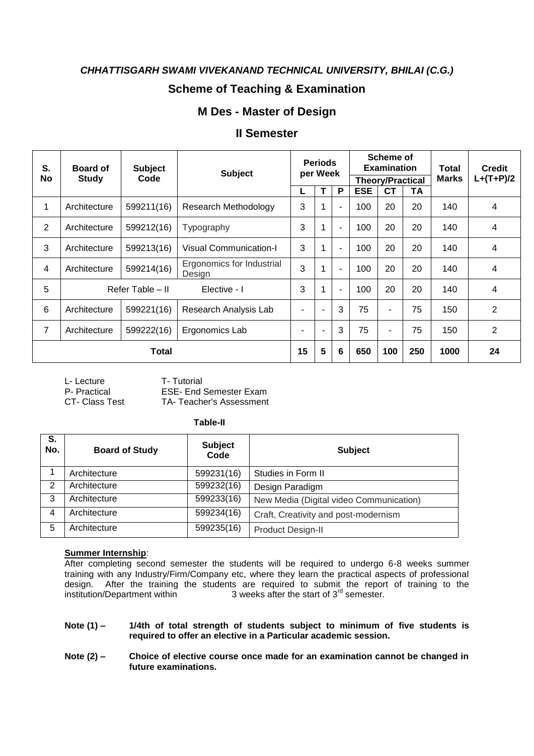## **Scheme of Teaching & Examination**

#### **M Des - Master of Design**

#### **II Semester**

| S.             | <b>Subject</b><br><b>Board of</b><br><b>Subject</b> |                  | <b>Periods</b><br>per Week          |                          |                          | Scheme of<br><b>Examination</b> |                         |           | Total | <b>Credit</b> |                |
|----------------|-----------------------------------------------------|------------------|-------------------------------------|--------------------------|--------------------------|---------------------------------|-------------------------|-----------|-------|---------------|----------------|
| No             | <b>Study</b>                                        | Code             |                                     |                          |                          |                                 | <b>Theory/Practical</b> |           |       | <b>Marks</b>  | $L+(T+P)/2$    |
|                |                                                     |                  |                                     | L                        |                          | P                               | <b>ESE</b>              | <b>CT</b> | TA    |               |                |
| $\mathbf{1}$   | Architecture                                        | 599211(16)       | Research Methodology                | 3                        |                          | $\blacksquare$                  | 100                     | 20        | 20    | 140           | 4              |
| $\overline{2}$ | Architecture                                        | 599212(16)       | Typography                          | 3                        |                          | $\blacksquare$                  | 100                     | 20        | 20    | 140           | 4              |
| 3              | Architecture                                        | 599213(16)       | <b>Visual Communication-I</b>       | 3                        |                          | $\blacksquare$                  | 100                     | 20        | 20    | 140           | 4              |
| 4              | Architecture                                        | 599214(16)       | Ergonomics for Industrial<br>Design | 3                        |                          | $\blacksquare$                  | 100                     | 20        | 20    | 140           | 4              |
| 5              |                                                     | Refer Table - II | Elective - I                        | 3                        |                          | $\blacksquare$                  | 100                     | 20        | 20    | 140           | $\overline{4}$ |
| 6              | Architecture                                        | 599221(16)       | Research Analysis Lab               | $\overline{\phantom{a}}$ | $\overline{\phantom{a}}$ | 3                               | 75                      | ۰         | 75    | 150           | 2              |
| 7              | Architecture                                        | 599222(16)       | Ergonomics Lab                      | $\blacksquare$           | $\overline{\phantom{a}}$ | 3                               | 75                      | ٠         | 75    | 150           | $\overline{2}$ |
|                |                                                     | Total            |                                     | 15                       | 5                        | 6                               | 650                     | 100       | 250   | 1000          | 24             |

L- Lecture T- Tutorial<br>
P- Practical FSF- Fnd

**ESE- End Semester Exam** 

CT- Class Test TA- Teacher's Assessment

#### **Table-II**

| S.<br>No. | <b>Board of Study</b>      | <b>Subject</b><br>Code | <b>Subject</b>                          |
|-----------|----------------------------|------------------------|-----------------------------------------|
|           | Architecture               | 599231(16)             | Studies in Form II                      |
| 2         | Architecture               | 599232(16)             | Design Paradigm                         |
| 3         | Architecture               | 599233(16)             | New Media (Digital video Communication) |
| 4         | Architecture               | 599234(16)             | Craft, Creativity and post-modernism    |
| 5         | Architecture<br>599235(16) |                        | Product Design-II                       |

#### **Summer Internship**:

After completing second semester the students will be required to undergo 6-8 weeks summer training with any Industry/Firm/Company etc, where they learn the practical aspects of professional design. After the training the students are required to submit the report of training to the institution/Department within  $\frac{3}{10}$  3 weeks after the start of 3<sup>rd</sup> semester.

- **Note (1) – 1/4th of total strength of students subject to minimum of five students is required to offer an elective in a Particular academic session.**
- **Note (2) – Choice of elective course once made for an examination cannot be changed in future examinations.**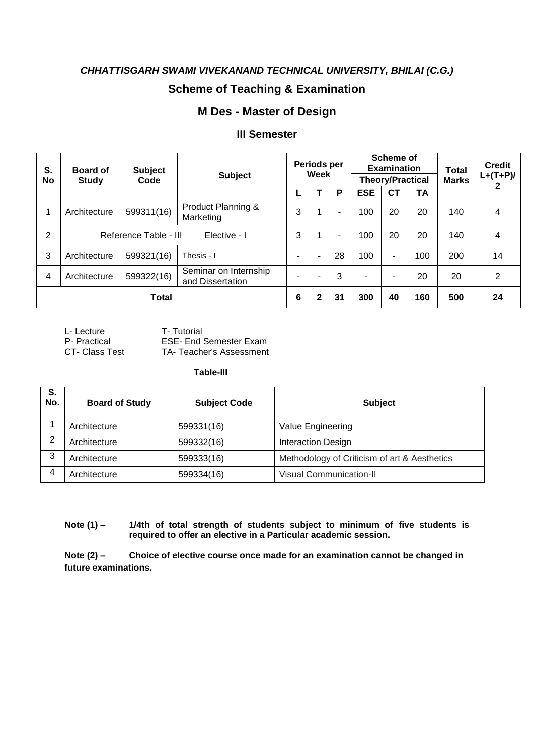# **Scheme of Teaching & Examination**

## **M Des - Master of Design**

## **III Semester**

| S.<br>No       | <b>Board of</b><br><b>Study</b>       | <b>Subject</b><br>Code | <b>Subject</b>                            | Periods per<br>Week      |                          | <b>Scheme of</b><br><b>Examination</b><br><b>Theory/Practical</b> |            |     | <b>Total</b><br><b>Marks</b> | <b>Credit</b><br>$L+(T+P)/$ |    |
|----------------|---------------------------------------|------------------------|-------------------------------------------|--------------------------|--------------------------|-------------------------------------------------------------------|------------|-----|------------------------------|-----------------------------|----|
|                |                                       |                        |                                           | L                        |                          | P                                                                 | <b>ESE</b> | СT  | <b>TA</b>                    |                             |    |
| 1              | Architecture                          | 599311(16)             | Product Planning &<br>Marketing           | 3                        | 1                        |                                                                   | 100        | 20  | 20                           | 140                         | 4  |
| $\overline{2}$ | Reference Table - III<br>Elective - I |                        |                                           | 3                        | 1                        |                                                                   | 100        | 20  | 20                           | 140                         | 4  |
| 3              | Architecture                          | 599321(16)             | Thesis - I                                | $\overline{\phantom{0}}$ | $\overline{\phantom{0}}$ | 28                                                                | 100        | -   | 100                          | 200                         | 14 |
| 4              | Architecture                          | 599322(16)             | Seminar on Internship<br>and Dissertation | $\overline{\phantom{0}}$ |                          | 3                                                                 | ۰          | -   | 20                           | 20                          | 2  |
| <b>Total</b>   |                                       |                        | 6                                         | $\mathbf{2}$             | 31                       | 300                                                               | 40         | 160 | 500                          | 24                          |    |

L- Lecture T- Tutorial<br>
P- Practical ESE- End 9

P- Practical ESE- End Semester Exam<br>CT- Class Test TA- Teacher's Assessment TA- Teacher's Assessment

**Table-III**

| S.<br>No.     | <b>Board of Study</b> | <b>Subject Code</b> | <b>Subject</b>                               |  |  |  |  |
|---------------|-----------------------|---------------------|----------------------------------------------|--|--|--|--|
|               | Architecture          | 599331(16)          | Value Engineering                            |  |  |  |  |
| $\mathcal{D}$ | Architecture          | 599332(16)          | Interaction Design                           |  |  |  |  |
| 3             | Architecture          | 599333(16)          | Methodology of Criticism of art & Aesthetics |  |  |  |  |
| 4             | Architecture          | 599334(16)          | <b>Visual Communication-II</b>               |  |  |  |  |

**Note (1) – 1/4th of total strength of students subject to minimum of five students is required to offer an elective in a Particular academic session.**

**Note (2) – Choice of elective course once made for an examination cannot be changed in future examinations.**